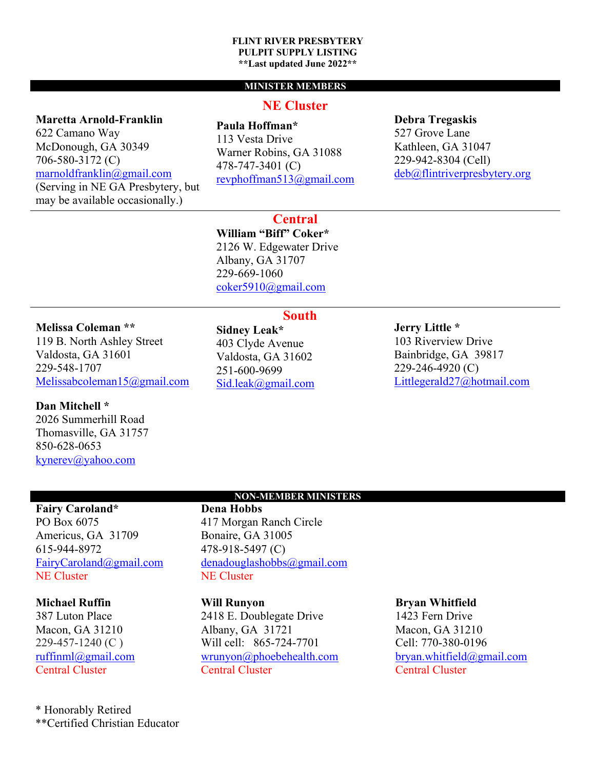#### **FLINT RIVER PRESBYTERY PULPIT SUPPLY LISTING \*\*Last updated June 2022\*\***

## **MINISTER MEMBERS**

# **Maretta Arnold-Franklin**

622 Camano Way McDonough, GA 30349 706-580-3172 (C) marnoldfranklin@gmail.com (Serving in NE GA Presbytery, but may be available occasionally.)

# **NE Cluster**

**Paula Hoffman\***

113 Vesta Drive Warner Robins, GA 31088 478-747-3401 (C) revphoffman513@gmail.com **Debra Tregaskis** 527 Grove Lane Kathleen, GA 31047 229-942-8304 (Cell)

deb@flintriverpresbytery.org

**Central**

**South**

**William "Biff" Coker\*** 2126 W. Edgewater Drive Albany, GA 31707 229-669-1060 coker5910@gmail.com

# **Melissa Coleman \*\***

119 B. North Ashley Street Valdosta, GA 31601 229-548-1707 Melissabcoleman15@gmail.com

## **Dan Mitchell \***

2026 Summerhill Road Thomasville, GA 31757 850-628-0653 kynerev@yahoo.com

**Sidney Leak\*** 403 Clyde Avenue Valdosta, GA 31602 251-600-9699 Sid.leak@gmail.com

## **Jerry Little \***

103 Riverview Drive Bainbridge, GA 39817 229-246-4920 (C) Littlegerald27@hotmail.com

# **Fairy Caroland\***

PO Box 6075 Americus, GA 31709 615-944-8972 FairyCaroland@gmail.com NE Cluster

## **Michael Ruffin**

387 Luton Place Macon, GA 31210 229-457-1240 (C ) ruffinml@gmail.com Central Cluster

\* Honorably Retired \*\*Certified Christian Educator

## **NON-MEMBER MINISTERS**

**Dena Hobbs** 417 Morgan Ranch Circle Bonaire, GA 31005 478-918-5497 (C) denadouglashobbs@gmail.com NE Cluster

## **Will Runyon**

2418 E. Doublegate Drive Albany, GA 31721 Will cell: 865-724-7701 wrunyon@phoebehealth.com Central Cluster

#### **Bryan Whitfield**

1423 Fern Drive Macon, GA 31210 Cell: 770-380-0196 bryan.whitfield@gmail.com Central Cluster